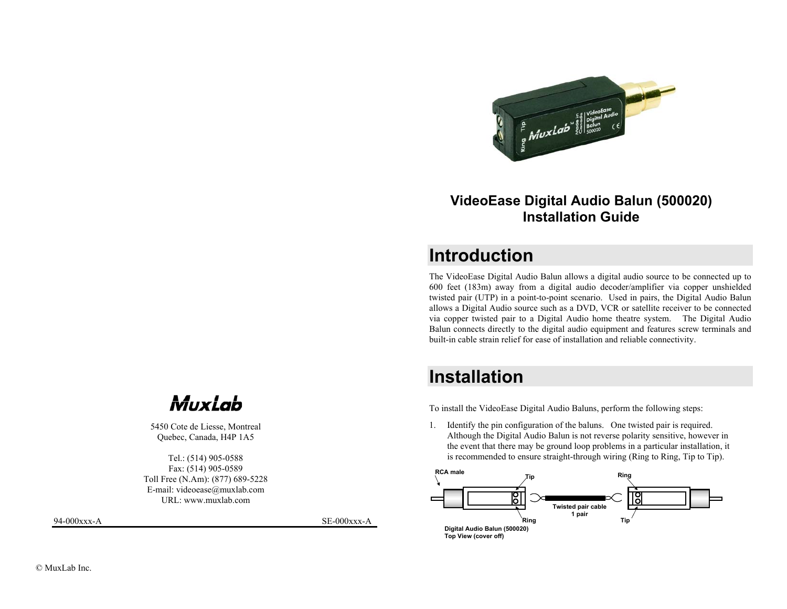

#### **VideoEase Digital Audio Balun (500020) Installation Guide**

## **Introduction**

The VideoEase Digital Audio Balun allows a digital audio source to be connected up to 600 feet (183m) away from a digital audio decoder/amplifier via copper unshielded twisted pair (UTP) in a point-to-point scenario. Used in pairs, the Digital Audio Balun allows a Digital Audio source such as a DVD, VCR or satellite receiver to be connected via copper twisted pair to a Digital Audio home theatre system. The Digital Audio Balun connects directly to the digital audio equipment and features screw terminals and built-in cable strain relief for ease of installation and reliable connectivity.

### **Installation**

To install the VideoEase Digital Audio Baluns, perform the following steps:

1. Identify the pin configuration of the baluns. One twisted pair is required. Although the Digital Audio Balun is not reverse polarity sensitive, however in the event that there may be ground loop problems in a particular installation, it is recommended to ensure straight-through wiring (Ring to Ring, Tip to Tip).



MuxLab

5450 Cote de Liesse, Montreal Quebec, Canada, H4P 1A5

Tel.: (514) 905-0588 Fax: (514) 905-0589 Toll Free (N.Am): (877) 689-5228 E-mail: videoease@muxlab.com URL: www.muxlab.com

94-000xxx-A SE-000xxx-A